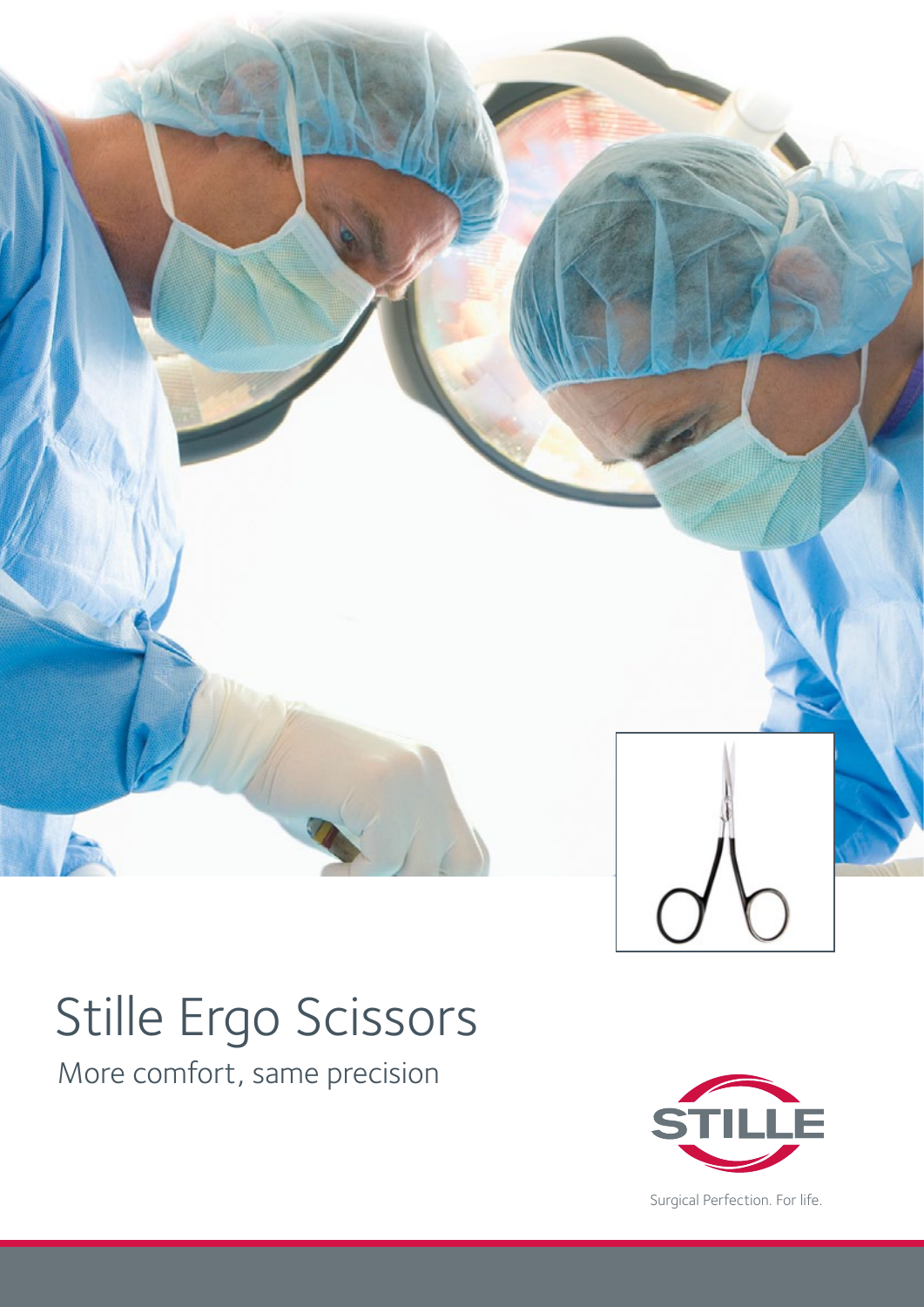# Stille Ergo Scissors

More comfort, same precision



Surgical Perfection. For life.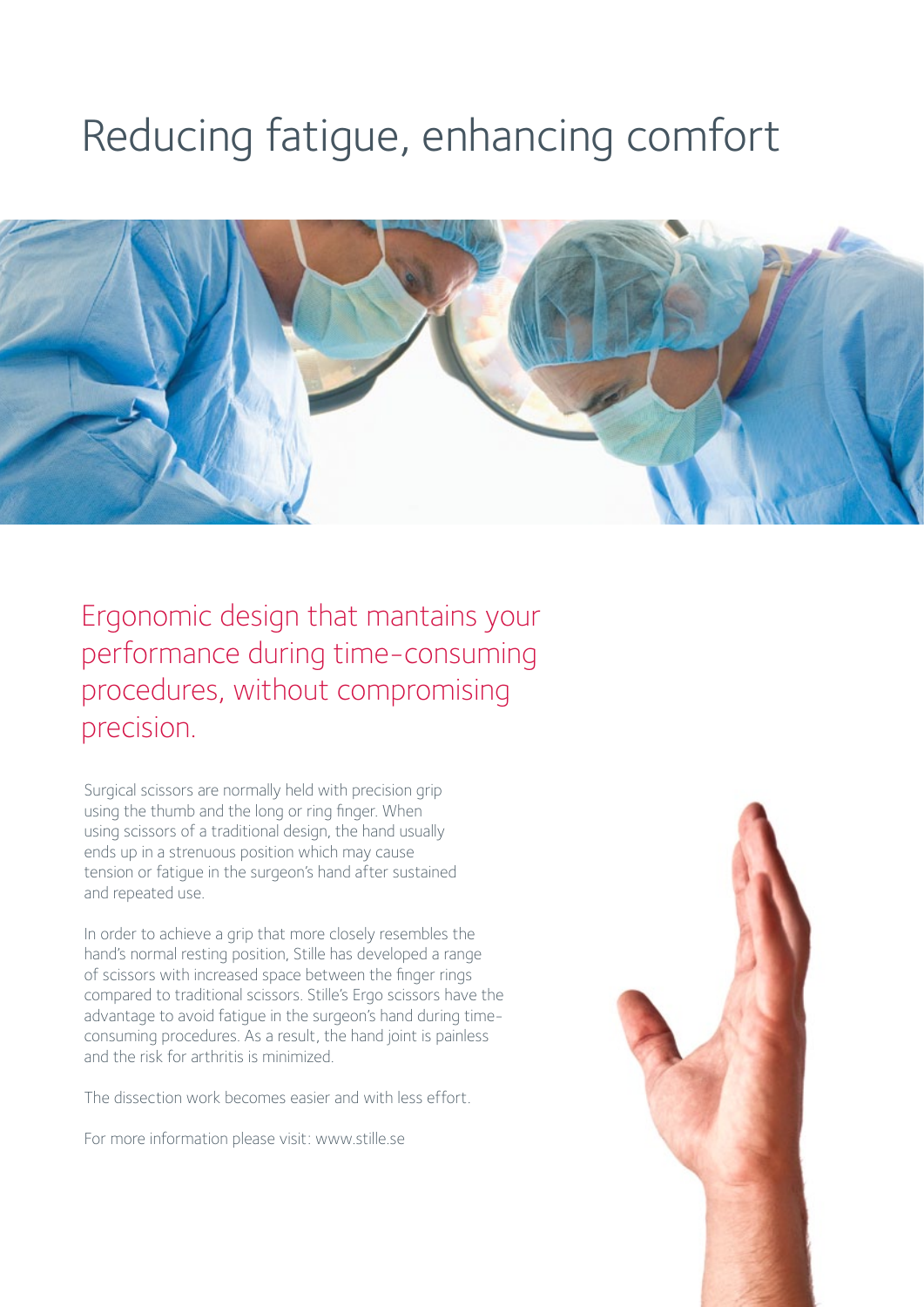## Reducing fatigue, enhancing comfort



Ergonomic design that mantains your performance during time-consuming procedures, without compromising precision.

Surgical scissors are normally held with precision grip using the thumb and the long or ring finger. When using scissors of a traditional design, the hand usually ends up in a strenuous position which may cause tension or fatigue in the surgeon's hand after sustained and repeated use.

In order to achieve a grip that more closely resembles the hand's normal resting position, Stille has developed a range of scissors with increased space between the finger rings compared to traditional scissors. Stille's Ergo scissors have the advantage to avoid fatigue in the surgeon's hand during timeconsuming procedures. As a result, the hand joint is painless and the risk for arthritis is minimized.

The dissection work becomes easier and with less effort.

For more information please visit: www.stille.se

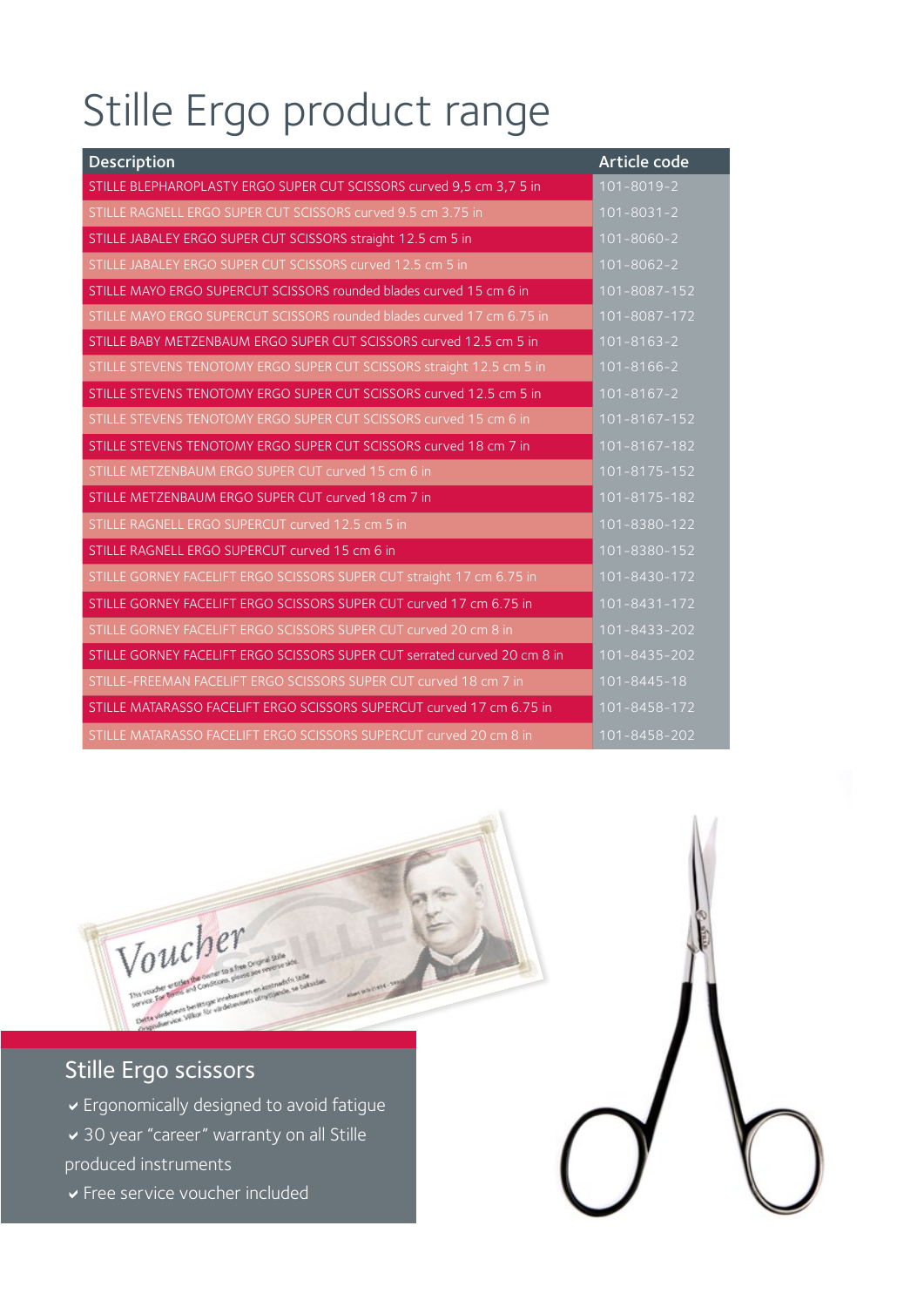# Stille Ergo product range

| Description                                                               | Article code       |
|---------------------------------------------------------------------------|--------------------|
| STILLE BLEPHAROPLASTY ERGO SUPER CUT SCISSORS curved 9.5 cm 3.7 5 in      | $101 - 8019 - 2$   |
| STILLE RAGNELL ERGO SUPER CUT SCISSORS curved 9.5 cm 3.75 in              | $101 - 8031 - 2$   |
| STILLE JABALEY ERGO SUPER CUT SCISSORS straight 12.5 cm 5 in              | $101 - 8060 - 2$   |
| STILLE JABALEY ERGO SUPER CUT SCISSORS curved 12.5 cm 5 in                | $101 - 8062 - 2$   |
| STILLE MAYO ERGO SUPERCUT SCISSORS rounded blades curved 15 cm 6 in       | 101-8087-152       |
| STILLE MAYO ERGO SUPERCUT SCISSORS rounded blades curved 17 cm 6.75 in    | 101-8087-172       |
| STILLE BABY METZENBAUM ERGO SUPER CUT SCISSORS curved 12.5 cm 5 in        | $101 - 8163 - 2$   |
| STILLE STEVENS TENOTOMY ERGO SUPER CUT SCISSORS straight 12.5 cm 5 in     | $101 - 8166 - 2$   |
| STILLE STEVENS TENOTOMY ERGO SUPER CUT SCISSORS curved 12.5 cm 5 in       | $101 - 8167 - 2$   |
| STILLE STEVENS TENOTOMY ERGO SUPER CUT SCISSORS curved 15 cm 6 in         | 101-8167-152       |
| STILLE STEVENS TENOTOMY ERGO SUPER CUT SCISSORS curved 18 cm 7 in         | 101-8167-182       |
| STILLE METZENBAUM ERGO SUPER CUT curved 15 cm 6 in                        | 101-8175-152       |
| STILLE METZENBAUM ERGO SUPER CUT curved 18 cm 7 in                        | 101-8175-182       |
| STILLE RAGNELL ERGO SUPERCUT curved 12.5 cm 5 in                          | 101-8380-122       |
| STILLE RAGNELL ERGO SUPERCUT curved 15 cm 6 in                            | 101-8380-152       |
| STILLE GORNEY FACELIFT ERGO SCISSORS SUPER CUT straight 17 cm 6.75 in     | $101 - 8430 - 172$ |
| STILLE GORNEY FACELIFT ERGO SCISSORS SUPER CUT curved 17 cm 6.75 in       | 101-8431-172       |
| STILLE GORNEY FACELIFT ERGO SCISSORS SUPER CUT curved 20 cm 8 in          | 101-8433-202       |
| STILLE GORNEY FACELIFT ERGO SCISSORS SUPER CUT serrated curved 20 cm 8 in | 101-8435-202       |
| STILLE-FREEMAN FACELIFT ERGO SCISSORS SUPER CUT curved 18 cm 7 in         | $101 - 8445 - 18$  |
| STILLE MATARASSO FACELIFT ERGO SCISSORS SUPERCUT curved 17 cm 6.75 in     | 101-8458-172       |
| STILLE MATARASSO FACELIFT ERGO SCISSORS SUPERCUT curved 20 cm 8 in        | 101-8458-202       |

Voucher Stille Ergo scissors  $\blacktriangleright$  Ergonomically designed to avoid fatigue v 30 year "career" warranty on all Stille produced instruments  $\checkmark$  Free service voucher included